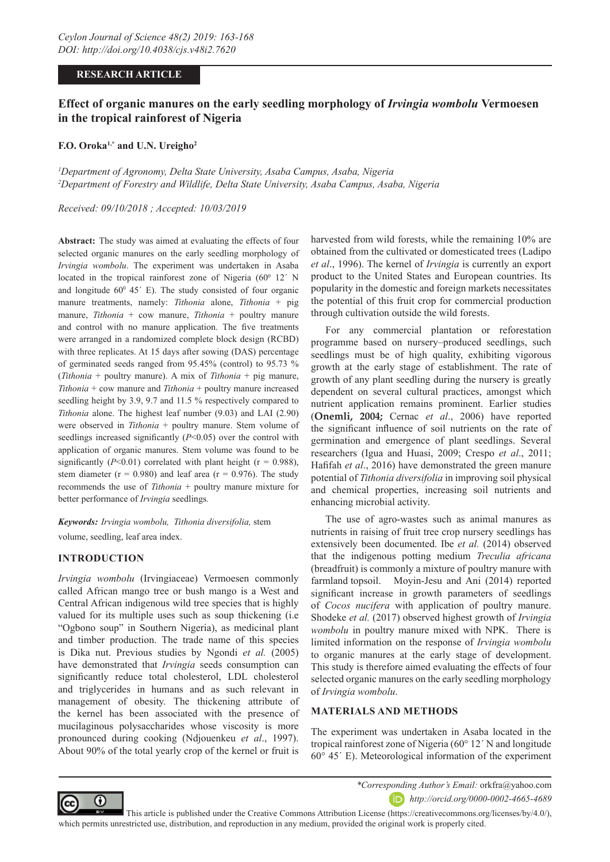## **RESEARCH ARTICLE**

# **Effect of organic manures on the early seedling morphology of** *Irvingia wombolu* **Vermoesen in the tropical rainforest of Nigeria**

### **F.O. Oroka1,\* and U.N. Ureigho2**

*1 Department of Agronomy, Delta State University, Asaba Campus, Asaba, Nigeria 2 Department of Forestry and Wildlife, Delta State University, Asaba Campus, Asaba, Nigeria*

*Received: 09/10/2018 ; Accepted: 10/03/2019*

**Abstract:** The study was aimed at evaluating the effects of four selected organic manures on the early seedling morphology of *Irvingia wombolu*. The experiment was undertaken in Asaba located in the tropical rainforest zone of Nigeria  $(60^{\circ}$  12' N and longitude  $60^{\circ}$  45 $^{\prime}$  E). The study consisted of four organic manure treatments, namely: *Tithonia* alone, *Tithonia* + pig manure, *Tithonia* + cow manure, *Tithonia* + poultry manure and control with no manure application. The five treatments were arranged in a randomized complete block design (RCBD) with three replicates. At 15 days after sowing (DAS) percentage of germinated seeds ranged from 95.45% (control) to 95.73 % (*Tithonia* + poultry manure). A mix of *Tithonia* + pig manure, *Tithonia* + cow manure and *Tithonia* + poultry manure increased seedling height by 3.9, 9.7 and 11.5 % respectively compared to *Tithonia* alone. The highest leaf number (9.03) and LAI (2.90) were observed in *Tithonia* + poultry manure. Stem volume of seedlings increased significantly (*P*<0.05) over the control with application of organic manures. Stem volume was found to be significantly ( $P<0.01$ ) correlated with plant height ( $r = 0.988$ ), stem diameter ( $r = 0.980$ ) and leaf area ( $r = 0.976$ ). The study recommends the use of *Tithonia* + poultry manure mixture for better performance of *Irvingia* seedlings*.*

*Keywords: Irvingia wombolu, Tithonia diversifolia,* stem volume, seedling, leaf area index.

### **INTRODUCTION**

*Irvingia wombolu* (Irvingiaceae) Vermoesen commonly called African mango tree or bush mango is a West and Central African indigenous wild tree species that is highly valued for its multiple uses such as soup thickening (i.e "Ogbono soup" in Southern Nigeria), as medicinal plant and timber production. The trade name of this species is Dika nut. Previous studies by Ngondi *et al.* (2005) have demonstrated that *Irvingia* seeds consumption can significantly reduce total cholesterol, LDL cholesterol and triglycerides in humans and as such relevant in management of obesity. The thickening attribute of the kernel has been associated with the presence of mucilaginous polysaccharides whose viscosity is more pronounced during cooking (Ndjouenkeu *et al*., 1997). About 90% of the total yearly crop of the kernel or fruit is

harvested from wild forests, while the remaining 10% are obtained from the cultivated or domesticated trees (Ladipo *et al*., 1996). The kernel of *Irvingia* is currently an export product to the United States and European countries. Its popularity in the domestic and foreign markets necessitates the potential of this fruit crop for commercial production through cultivation outside the wild forests.

For any commercial plantation or reforestation programme based on nursery–produced seedlings, such seedlings must be of high quality, exhibiting vigorous growth at the early stage of establishment. The rate of growth of any plant seedling during the nursery is greatly dependent on several cultural practices, amongst which nutrient application remains prominent. Earlier studies (**Onemli, 2004;** Cernac *et al*., 2006) have reported the significant influence of soil nutrients on the rate of germination and emergence of plant seedlings. Several researchers (Igua and Huasi, 2009; Crespo *et al*., 2011; Hafifah *et al*., 2016) have demonstrated the green manure potential of *Tithonia diversifolia* in improving soil physical and chemical properties, increasing soil nutrients and enhancing microbial activity.

The use of agro-wastes such as animal manures as nutrients in raising of fruit tree crop nursery seedlings has extensively been documented. Ibe *et al.* (2014) observed that the indigenous potting medium *Treculia africana* (breadfruit) is commonly a mixture of poultry manure with farmland topsoil. Moyin-Jesu and Ani (2014) reported significant increase in growth parameters of seedlings of *Cocos nucifera* with application of poultry manure. Shodeke *et al.* (2017) observed highest growth of *Irvingia wombolu* in poultry manure mixed with NPK. There is limited information on the response of *Irvingia wombolu* to organic manures at the early stage of development. This study is therefore aimed evaluating the effects of four selected organic manures on the early seedling morphology of *Irvingia wombolu*.

## **MATERIALS AND METHODS**

The experiment was undertaken in Asaba located in the tropical rainforest zone of Nigeria (60° 12´ N and longitude 60° 45´ E). Meteorological information of the experiment



*\*Corresponding Author's Email:* orkfra@yahoo.com

*http://orcid.org/0000-0002-4665-4689*

 This article is published under the Creative Commons Attribution License (https://creativecommons.org/licenses/by/4.0/), which permits unrestricted use, distribution, and reproduction in any medium, provided the original work is properly cited.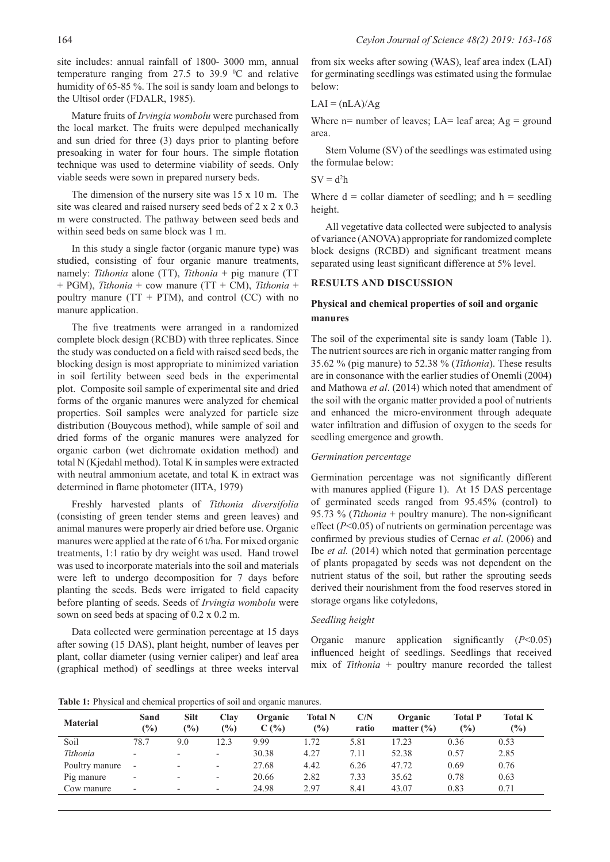site includes: annual rainfall of 1800- 3000 mm, annual temperature ranging from 27.5 to 39.9  $\degree$ C and relative humidity of 65-85 %. The soil is sandy loam and belongs to the Ultisol order (FDALR, 1985).

Mature fruits of *Irvingia wombolu* were purchased from the local market. The fruits were depulped mechanically and sun dried for three (3) days prior to planting before presoaking in water for four hours. The simple flotation technique was used to determine viability of seeds. Only viable seeds were sown in prepared nursery beds.

The dimension of the nursery site was 15 x 10 m. The site was cleared and raised nursery seed beds of 2 x 2 x 0.3 m were constructed. The pathway between seed beds and within seed beds on same block was 1 m.

In this study a single factor (organic manure type) was studied, consisting of four organic manure treatments, namely: *Tithonia* alone (TT), *Tithonia* + pig manure (TT + PGM), *Tithonia* + cow manure (TT + CM), *Tithonia* + poultry manure ( $TT + PTM$ ), and control (CC) with no manure application.

The five treatments were arranged in a randomized complete block design (RCBD) with three replicates. Since the study was conducted on a field with raised seed beds, the blocking design is most appropriate to minimized variation in soil fertility between seed beds in the experimental plot. Composite soil sample of experimental site and dried forms of the organic manures were analyzed for chemical properties. Soil samples were analyzed for particle size distribution (Bouycous method), while sample of soil and dried forms of the organic manures were analyzed for organic carbon (wet dichromate oxidation method) and total N (Kjedahl method). Total K in samples were extracted with neutral ammonium acetate, and total K in extract was determined in flame photometer (IITA, 1979)

Freshly harvested plants of *Tithonia diversifolia* (consisting of green tender stems and green leaves) and animal manures were properly air dried before use. Organic manures were applied at the rate of 6 t/ha. For mixed organic treatments, 1:1 ratio by dry weight was used. Hand trowel was used to incorporate materials into the soil and materials were left to undergo decomposition for 7 days before planting the seeds. Beds were irrigated to field capacity before planting of seeds. Seeds of *Irvingia wombolu* were sown on seed beds at spacing of 0.2 x 0.2 m.

Data collected were germination percentage at 15 days after sowing (15 DAS), plant height, number of leaves per plant, collar diameter (using vernier caliper) and leaf area (graphical method) of seedlings at three weeks interval

from six weeks after sowing (WAS), leaf area index (LAI) for germinating seedlings was estimated using the formulae below:

$$
LAI = (nLA)/Ag
$$

Where  $n=$  number of leaves; LA= leaf area; Ag = ground area.

Stem Volume (SV) of the seedlings was estimated using the formulae below:

$$
SV=d^2h
$$

Where  $d = \text{collar diameter of seedling}$ ; and  $h = \text{seedling}$ height.

All vegetative data collected were subjected to analysis of variance (ANOVA) appropriate for randomized complete block designs (RCBD) and significant treatment means separated using least significant difference at 5% level.

## **RESULTS AND DISCUSSION**

## **Physical and chemical properties of soil and organic manures**

The soil of the experimental site is sandy loam (Table 1). The nutrient sources are rich in organic matter ranging from 35.62 % (pig manure) to 52.38 % (*Tithonia*). These results are in consonance with the earlier studies of Onemli (2004) and Mathowa *et al*. (2014) which noted that amendment of the soil with the organic matter provided a pool of nutrients and enhanced the micro-environment through adequate water infiltration and diffusion of oxygen to the seeds for seedling emergence and growth.

### *Germination percentage*

Germination percentage was not significantly different with manures applied (Figure 1). At 15 DAS percentage of germinated seeds ranged from 95.45% (control) to 95.73 % (*Tithonia* + poultry manure). The non-significant effect (*P*<0.05) of nutrients on germination percentage was confirmed by previous studies of Cernac *et al*. (2006) and Ibe *et al.* (2014) which noted that germination percentage of plants propagated by seeds was not dependent on the nutrient status of the soil, but rather the sprouting seeds derived their nourishment from the food reserves stored in storage organs like cotyledons,

#### *Seedling height*

Organic manure application significantly (*P*<0.05) influenced height of seedlings. Seedlings that received mix of *Tithonia* + poultry manure recorded the tallest

**Table 1:** Physical and chemical properties of soil and organic manures.

| <b>Material</b> | Sand<br>$\frac{10}{6}$   | Silt<br>$\frac{1}{2}$    | <b>Clay</b><br>$\frac{1}{2}$ | Organic<br>C(%) | <b>Total N</b><br>$\frac{9}{0}$ | C/N<br>ratio | Organic<br>matter $(\% )$ | <b>Total P</b><br>(%) | <b>Total K</b><br>$\frac{1}{2}$ |
|-----------------|--------------------------|--------------------------|------------------------------|-----------------|---------------------------------|--------------|---------------------------|-----------------------|---------------------------------|
| Soil            | 78.7                     | 9.0                      | 2.3                          | 9.99            | .72                             | 5.81         | 7.23                      | 0.36                  | 0.53                            |
| Tithonia        | $\overline{\phantom{0}}$ | $\overline{\phantom{a}}$ | $\overline{\phantom{a}}$     | 30.38           | 4.27                            | 7.11         | 52.38                     | 0.57                  | 2.85                            |
| Poultry manure  |                          | $\overline{\phantom{0}}$ | $\overline{\phantom{a}}$     | 27.68           | 4.42                            | 6.26         | 47.72                     | 0.69                  | 0.76                            |
| Pig manure      | $\overline{\phantom{0}}$ | -                        | $\overline{\phantom{a}}$     | 20.66           | 2.82                            | 7.33         | 35.62                     | 0.78                  | 0.63                            |
| Cow manure      | $\overline{\phantom{0}}$ | -                        | $\overline{\phantom{a}}$     | 24.98           | 2.97                            | 8.41         | 43.07                     | 0.83                  | 0.71                            |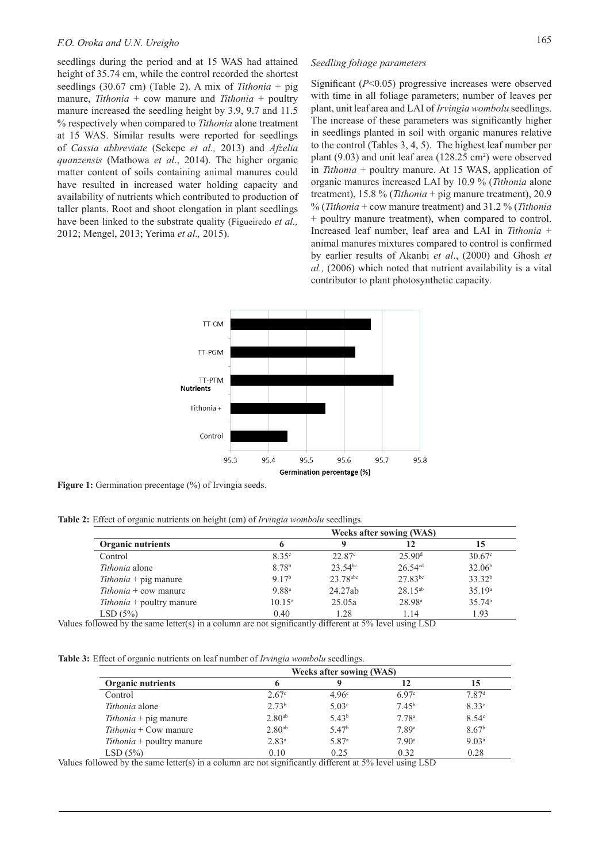## *F.O. Oroka and U.N. Ureigho* 165

seedlings during the period and at 15 WAS had attained height of 35.74 cm, while the control recorded the shortest seedlings (30.67 cm) (Table 2). A mix of *Tithonia* + pig manure, *Tithonia* + cow manure and *Tithonia* + poultry manure increased the seedling height by 3.9, 9.7 and 11.5 % respectively when compared to *Tithonia* alone treatment at 15 WAS. Similar results were reported for seedlings of *Cassia abbreviate* (Sekepe *et al.,* 2013) and *Afzelia quanzensis* (Mathowa *et al*., 2014). The higher organic matter content of soils containing animal manures could have resulted in increased water holding capacity and availability of nutrients which contributed to production of taller plants. Root and shoot elongation in plant seedlings have been linked to the substrate quality (Figueiredo *et al.,* 2012; Mengel, 2013; Yerima *et al.,* 2015).

## *Seedling foliage parameters*

Significant (*P*<0.05) progressive increases were observed with time in all foliage parameters; number of leaves per plant, unit leaf area and LAI of *Irvingia wombolu* seedlings. The increase of these parameters was significantly higher in seedlings planted in soil with organic manures relative to the control (Tables 3, 4, 5). The highest leaf number per plant  $(9.03)$  and unit leaf area  $(128.25 \text{ cm}^2)$  were observed in *Tithonia* + poultry manure. At 15 WAS, application of organic manures increased LAI by 10.9 % (*Tithonia* alone treatment), 15.8 % (*Tithonia* + pig manure treatment), 20.9 % (*Tithonia* + cow manure treatment) and 31.2 % (*Tithonia* + poultry manure treatment), when compared to control. Increased leaf number, leaf area and LAI in *Tithonia* + animal manures mixtures compared to control is confirmed by earlier results of Akanbi *et al*., (2000) and Ghosh *et al.,* (2006) which noted that nutrient availability is a vital contributor to plant photosynthetic capacity.



**Figure 1:** Germination precentage (%) of Irvingia seeds.

**Table 2:** Effect of organic nutrients on height (cm) of *Irvingia wombolu* seedlings.

|                                     |                   | <b>Weeks after sowing (WAS)</b> |                    |                      |
|-------------------------------------|-------------------|---------------------------------|--------------------|----------------------|
| Organic nutrients                   |                   |                                 | 12                 | 15                   |
| Control                             | 8.35c             | $22.87^{\circ}$                 | 25.90 <sup>d</sup> | $30.67$ <sup>c</sup> |
| Tithonia alone                      | 8.78 <sup>b</sup> | $23.54^{bc}$                    | $26.54^{cd}$       | 32.06 <sup>b</sup>   |
| $Tithonia + pig$ manure             | 9.17 <sup>b</sup> | 23.78abc                        | $27.83^{bc}$       | 33.32 <sup>b</sup>   |
| $Tithonia + \text{cow manufacture}$ | 9.88 <sup>a</sup> | 24.27ab                         | $28.15^{ab}$       | 35.19a               |
| <i>Tithonia</i> + poultry manure    | $10.15^{\circ}$   | 25.05a                          | 28.98 <sup>a</sup> | 35.74a               |
| LSD(5%)                             | 0.40              | 1.28                            | 1.14               | 1.93                 |

Values followed by the same letter(s) in a column are not significantly different at  $5\%$  level using LSD

**Table 3:** Effect of organic nutrients on leaf number of *Irvingia wombolu* seedlings.

|                                  | <b>Weeks after sowing (WAS)</b> |                   |                   |                   |
|----------------------------------|---------------------------------|-------------------|-------------------|-------------------|
| <b>Organic nutrients</b>         |                                 | Q                 | 12                | 15                |
| Control                          | $2.67^{\circ}$                  | 4.96c             | 6.97 <sup>c</sup> | 7.87 <sup>d</sup> |
| <i>Tithonia</i> alone            | 2.73 <sup>b</sup>               | 5.03 <sup>c</sup> | 7.45 <sup>b</sup> | 8.33c             |
| $Tithonia + pig$ manure          | 2.80 <sup>ab</sup>              | 5.43 <sup>b</sup> | 7.78 <sup>a</sup> | $8.54^{\circ}$    |
| $Tithonia + Cow$ manure          | 2.80 <sup>ab</sup>              | 5.47 <sup>b</sup> | 7.89 <sup>a</sup> | 8.67 <sup>b</sup> |
| <i>Tithonia</i> + poultry manure | 2.83 <sup>a</sup>               | 5.87 <sup>a</sup> | 7.90 <sup>a</sup> | 9.03 <sup>a</sup> |
| LSD(5%)                          | 0.10                            | 0.25              | 0.32              | 0.28              |

Values followed by the same letter(s) in a column are not significantly different at 5% level using LSD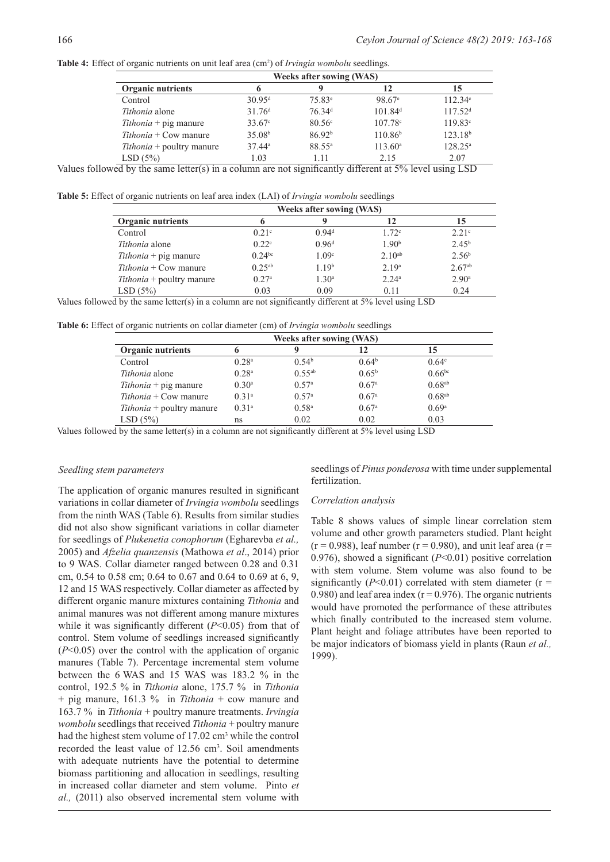Table 4: Effect of organic nutrients on unit leaf area (cm<sup>2</sup>) of *Irvingia wombolu* seedlings.

| <b>Weeks after sowing (WAS)</b> |                    |                                |                                                         |  |  |  |
|---------------------------------|--------------------|--------------------------------|---------------------------------------------------------|--|--|--|
| 6                               |                    | 12                             | 15                                                      |  |  |  |
| $30.95$ <sup>d</sup>            | 75.83 <sup>e</sup> | 98.67 <sup>e</sup>             | $112.34^e$                                              |  |  |  |
| 31.76 <sup>d</sup>              | 76.34 <sup>d</sup> | 101.84 <sup>d</sup>            | 117.52 <sup>d</sup>                                     |  |  |  |
| $33.67^{\circ}$                 | $80.56^{\circ}$    | $107.78^{\circ}$               | $119.83^{\circ}$                                        |  |  |  |
| 35.08 <sup>b</sup>              | 86.92 <sup>b</sup> | 110.86 <sup>b</sup>            | 123.18 <sup>b</sup>                                     |  |  |  |
| $37.44^a$                       | 88.55 <sup>a</sup> | $113.60^{\circ}$               | $128.25^{\circ}$                                        |  |  |  |
| 1.03                            | 1.11               | 2.15                           | 2.07                                                    |  |  |  |
|                                 |                    | $\cdot$ $\sim$<br>1.00<br>$-1$ | $\cdot$ $\cdot$ $\cdot$ $\cdot$ $\cdot$ $\cdot$ $\cdot$ |  |  |  |

Values followed by the same letter(s) in a column are not significantly different at 5% level using LSD

**Table 5:** Effect of organic nutrients on leaf area index (LAI) of *Irvingia wombolu* seedlings

|                                  |                   |                   | <b>Weeks after sowing (WAS)</b> |                   |  |
|----------------------------------|-------------------|-------------------|---------------------------------|-------------------|--|
| <b>Organic nutrients</b>         | 12                |                   |                                 |                   |  |
| Control                          | 0.21 <sup>c</sup> | 0.94 <sup>d</sup> | 1.72c                           | 2.21 <sup>c</sup> |  |
| Tithonia alone                   | 0.22 <sup>c</sup> | 0.96 <sup>d</sup> | 1.90 <sup>b</sup>               | $2.45^{\rm b}$    |  |
| $Tithonia + pig$ manure          | $0.24^{bc}$       | 1.09 <sup>c</sup> | $2.10^{ab}$                     | 2.56 <sup>b</sup> |  |
| $Tithonia + Cow manure$          | $0.25^{ab}$       | 1.19 <sup>b</sup> | 2.19 <sup>a</sup>               | $2.67^{ab}$       |  |
| <i>Tithonia</i> + poultry manure | 0.27a             | 1.30 <sup>a</sup> | 2.24a                           | 2.90 <sup>a</sup> |  |
| LSD(5%)                          | 0.03              | 0.09              | 0.11                            | 0.24              |  |

Values followed by the same letter(s) in a column are not significantly different at 5% level using LSD

**Table 6:** Effect of organic nutrients on collar diameter (cm) of *Irvingia wombolu* seedlings

|                                  | Weeks after sowing (WAS) |                   |                   |                      |  |  |
|----------------------------------|--------------------------|-------------------|-------------------|----------------------|--|--|
| <b>Organic nutrients</b>         |                          |                   | 12                | 15                   |  |  |
| Control                          | 0.28 <sup>a</sup>        | 0.54 <sup>b</sup> | 0.64 <sup>b</sup> | $0.64^{\circ}$       |  |  |
| <i>Tithonia</i> alone            | 0.28 <sup>a</sup>        | $0.55^{ab}$       | $0.65^{\rm b}$    | $0.66^{bc}$          |  |  |
| $Tithonia + pig$ manure          | 0.30 <sup>a</sup>        | 0.57 <sup>a</sup> | 0.67 <sup>a</sup> | $0.68$ <sup>ab</sup> |  |  |
| $Tithonia + Cow$ manure          | 0.31a                    | 0.57 <sup>a</sup> | 0.67 <sup>a</sup> | $0.68$ <sup>ab</sup> |  |  |
| <i>Tithonia</i> + poultry manure | 0.31 <sup>a</sup>        | 0.58 <sup>a</sup> | 0.67 <sup>a</sup> | 0.69a                |  |  |
| LSD(5%)                          | ns                       | 0.02              | 0.02              | 0.03                 |  |  |

Values followed by the same letter(s) in a column are not significantly different at 5% level using LSD

#### *Seedling stem parameters*

The application of organic manures resulted in significant variations in collar diameter of *Irvingia wombolu* seedlings from the ninth WAS (Table 6). Results from similar studies did not also show significant variations in collar diameter for seedlings of *Plukenetia conophorum* (Egharevba *et al.,*  2005) and *Afzelia quanzensis* (Mathowa *et al*., 2014) prior to 9 WAS. Collar diameter ranged between 0.28 and 0.31 cm, 0.54 to 0.58 cm; 0.64 to 0.67 and 0.64 to 0.69 at 6, 9, 12 and 15 WAS respectively. Collar diameter as affected by different organic manure mixtures containing *Tithonia* and animal manures was not different among manure mixtures while it was significantly different  $(P<0.05)$  from that of control. Stem volume of seedlings increased significantly (*P*<0.05) over the control with the application of organic manures (Table 7). Percentage incremental stem volume between the 6 WAS and 15 WAS was 183.2 % in the control, 192.5 % in *Tithonia* alone, 175.7 % in *Tithonia* + pig manure, 161.3 % in *Tithonia* + cow manure and 163.7 % in *Tithonia* + poultry manure treatments. *Irvingia wombolu* seedlings that received *Tithonia* + poultry manure had the highest stem volume of 17.02 cm<sup>3</sup> while the control recorded the least value of  $12.56 \text{ cm}^3$ . Soil amendments with adequate nutrients have the potential to determine biomass partitioning and allocation in seedlings, resulting in increased collar diameter and stem volume. Pinto *et al.,* (2011) also observed incremental stem volume with

seedlings of *Pinus ponderosa* with time under supplemental fertilization.

#### *Correlation analysis*

Table 8 shows values of simple linear correlation stem volume and other growth parameters studied. Plant height  $(r = 0.988)$ , leaf number  $(r = 0.980)$ , and unit leaf area  $(r = 0.988)$ 0.976), showed a significant (*P*<0.01) positive correlation with stem volume. Stem volume was also found to be significantly  $(P<0.01)$  correlated with stem diameter  $(r =$ 0.980) and leaf area index ( $r = 0.976$ ). The organic nutrients would have promoted the performance of these attributes which finally contributed to the increased stem volume. Plant height and foliage attributes have been reported to be major indicators of biomass yield in plants (Raun *et al.,* 1999).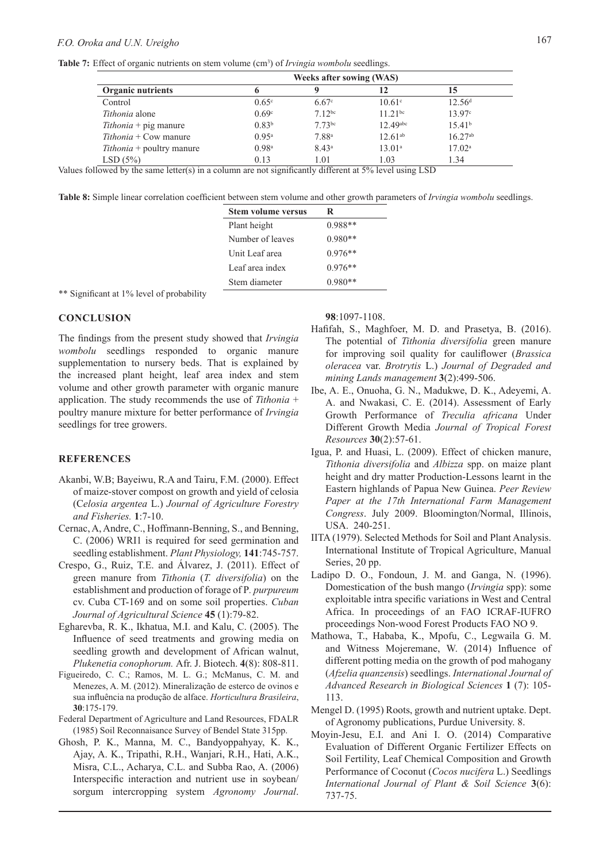## *F.O. Oroka and U.N. Ureigho* 167

Table 7: Effect of organic nutrients on stem volume (cm<sup>3</sup>) of *Irvingia wombolu* seedlings.

|                                  | <b>Weeks after sowing (WAS)</b> |                   |                        |                    |  |
|----------------------------------|---------------------------------|-------------------|------------------------|--------------------|--|
| <b>Organic nutrients</b>         |                                 |                   | 12                     | 15                 |  |
| Control                          | $0.65^{\circ}$                  | $6.67^{\circ}$    | $10.61^{\circ}$        | 12.56 <sup>d</sup> |  |
| Tithonia alone                   | 0.69c                           | $7.12^{bc}$       | $11.21^{bc}$           | 13.97 <sup>c</sup> |  |
| $Tithonia + pig$ manure          | 0.83 <sup>b</sup>               | $7.73^{bc}$       | $12.49$ <sup>abc</sup> | 15.41 <sup>b</sup> |  |
| $Tithonia + Cow manure$          | $0.95^{\rm a}$                  | 7.88 <sup>a</sup> | $12.61^{ab}$           | $16.27^{ab}$       |  |
| <i>Tithonia</i> + poultry manure | 0.98 <sup>a</sup>               | 8.43 <sup>a</sup> | 13.01 <sup>a</sup>     | $17.02^{\rm a}$    |  |
| LSD(5%)                          | 0.13                            | 1.01              | 1.03                   | 1.34               |  |

Values followed by the same letter(s) in a column are not significantly different at  $5\%$  level using LSD

**Table 8:** Simple linear correlation coefficient between stem volume and other growth parameters of *Irvingia wombolu* seedlings.

| <b>Stem volume versus</b> | R         |
|---------------------------|-----------|
| Plant height              | $0.988**$ |
| Number of leaves          | $0.980**$ |
| Unit Leaf area            | $0.976**$ |
| Leaf area index           | $0.976**$ |
| Stem diameter             | $0.980**$ |
|                           |           |

\*\* Significant at 1% level of probability

## **CONCLUSION**

The findings from the present study showed that *Irvingia wombolu* seedlings responded to organic manure supplementation to nursery beds. That is explained by the increased plant height, leaf area index and stem volume and other growth parameter with organic manure application. The study recommends the use of *Tithonia* + poultry manure mixture for better performance of *Irvingia*  seedlings for tree growers.

## **REFERENCES**

- Akanbi, W.B; Bayeiwu, R.A and Tairu, F.M. (2000). Effect of maize-stover compost on growth and yield of celosia (C*elosia argentea* L.) *Journal of Agriculture Forestry and Fisheries.* **1**:7-10.
- Cernac, A, Andre, C., Hoffmann-Benning, S., and Benning, C. (2006) WRI1 is required for seed germination and seedling establishment. *Plant Physiology,* **141**:745-757.
- Crespo, G., Ruiz, T.E. and Álvarez, J. (2011). Effect of green manure from *Tithonia* (*T. diversifolia*) on the establishment and production of forage of P*. purpureum*  cv. Cuba CT-169 and on some soil properties. *Cuban Journal of Agricultural Science* **45** (1):79-82.
- Egharevba, R. K., Ikhatua, M.I. and Kalu, C. (2005). The Influence of seed treatments and growing media on seedling growth and development of African walnut, *Plukenetia conophorum.* Afr. J. Biotech. **4**(8): 808-811.
- Figueiredo, C. C.; Ramos, M. L. G.; McManus, C. M. and Menezes, A. M. (2012). Mineralização de esterco de ovinos e sua influência na produção de alface. *Horticultura Brasileira*, **30**:175-179.
- Federal Department of Agriculture and Land Resources, FDALR (1985) Soil Reconnaisance Survey of Bendel State 315pp.
- Ghosh, P. K., Manna, M. C., Bandyoppahyay, K. K., Ajay, A. K., Tripathi, R.H., Wanjari, R.H., Hati, A.K., Misra, C.L., Acharya, C.L. and Subba Rao, A. (2006) Interspecific interaction and nutrient use in soybean/ sorgum intercropping system *Agronomy Journal*.

**98**:1097-1108.

- Hafifah, S., Maghfoer, M. D. and Prasetya, B. (2016). The potential of *Tithonia diversifolia* green manure for improving soil quality for cauliflower (*Brassica oleracea* var. *Brotrytis* L.) *Journal of Degraded and mining Lands management* **3**(2):499-506.
- Ibe, A. E., Onuoha, G. N., Madukwe, D. K., Adeyemi, A. A. and Nwakasi, C. E. (2014). Assessment of Early Growth Performance of *Treculia africana* Under Different Growth Media *Journal of Tropical Forest Resources* **30**(2):57-61.
- Igua, P. and Huasi, L. (2009). Effect of chicken manure, *Tithonia diversifolia* and *Albizza* spp. on maize plant height and dry matter Production-Lessons learnt in the Eastern highlands of Papua New Guinea. *Peer Review Paper at the 17th International Farm Management Congress*. July 2009. Bloomington/Normal, Illinois, USA. 240-251.
- IITA (1979). Selected Methods for Soil and Plant Analysis. International Institute of Tropical Agriculture, Manual Series, 20 pp.
- Ladipo D. O., Fondoun, J. M. and Ganga, N. (1996). Domestication of the bush mango (*Irvingia* spp): some exploitable intra specific variations in West and Central Africa. In proceedings of an FAO ICRAF-IUFRO proceedings Non-wood Forest Products FAO NO 9.
- Mathowa, T., Hababa, K., Mpofu, C., Legwaila G. M. and Witness Mojeremane, W. (2014) Influence of different potting media on the growth of pod mahogany (*Afzelia quanzensis*) seedlings. *International Journal of Advanced Research in Biological Sciences* **1** (7): 105- 113.
- Mengel D. (1995) Roots, growth and nutrient uptake. Dept. of Agronomy publications, Purdue University. 8.
- Moyin-Jesu, E.I. and Ani I. O. (2014) Comparative Evaluation of Different Organic Fertilizer Effects on Soil Fertility, Leaf Chemical Composition and Growth Performance of Coconut (*Cocos nucifera* L.) Seedlings *International Journal of Plant & Soil Science* **3**(6): 737-75.